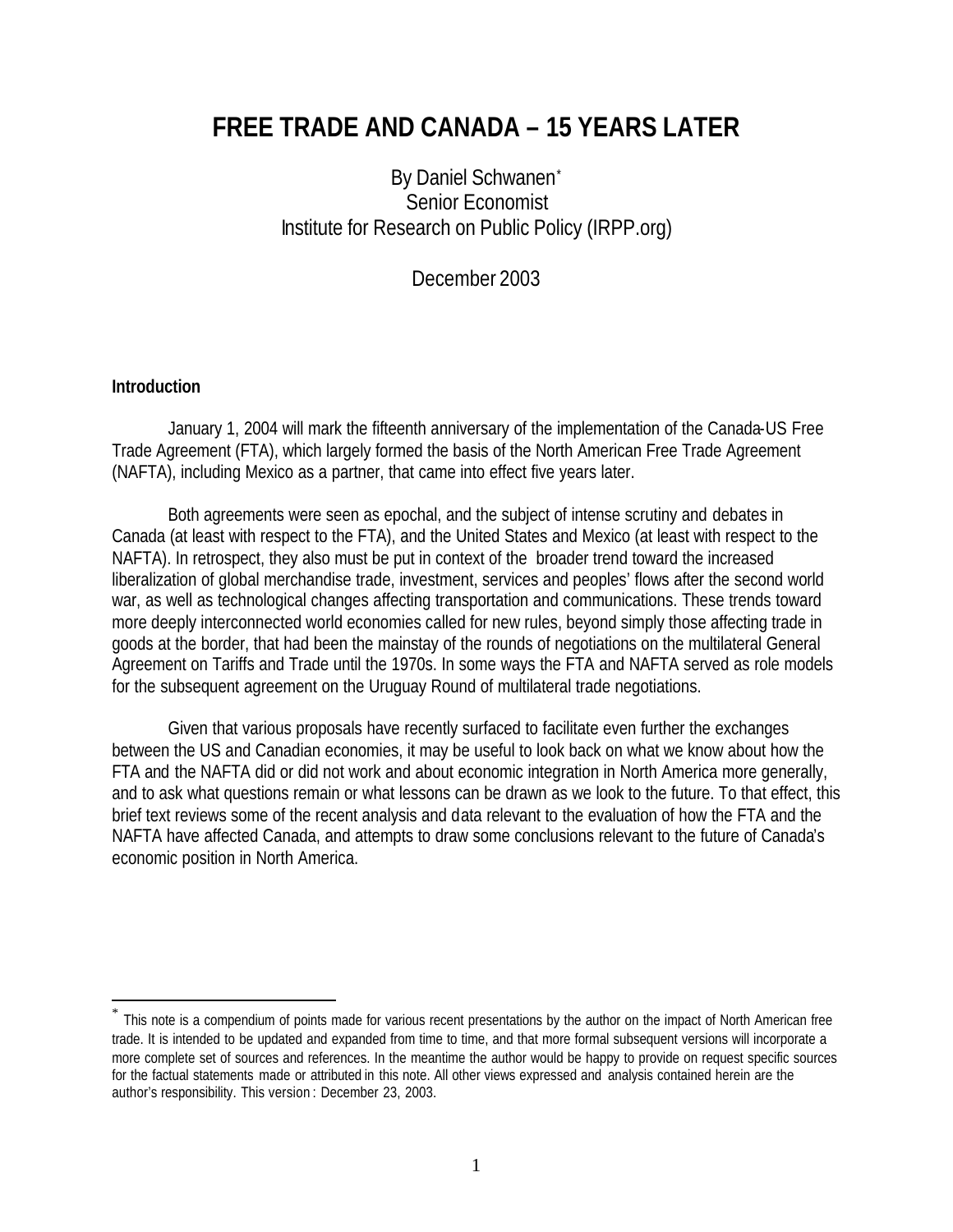# **FREE TRADE AND CANADA – 15 YEARS LATER**

By Daniel Schwanen\* Senior Economist Institute for Research on Public Policy (IRPP.org)

December 2003

#### **Introduction**

 $\overline{a}$ 

January 1, 2004 will mark the fifteenth anniversary of the implementation of the Canada-US Free Trade Agreement (FTA), which largely formed the basis of the North American Free Trade Agreement (NAFTA), including Mexico as a partner, that came into effect five years later.

Both agreements were seen as epochal, and the subject of intense scrutiny and debates in Canada (at least with respect to the FTA), and the United States and Mexico (at least with respect to the NAFTA). In retrospect, they also must be put in context of the broader trend toward the increased liberalization of global merchandise trade, investment, services and peoples' flows after the second world war, as well as technological changes affecting transportation and communications. These trends toward more deeply interconnected world economies called for new rules, beyond simply those affecting trade in goods at the border, that had been the mainstay of the rounds of negotiations on the multilateral General Agreement on Tariffs and Trade until the 1970s. In some ways the FTA and NAFTA served as role models for the subsequent agreement on the Uruguay Round of multilateral trade negotiations.

Given that various proposals have recently surfaced to facilitate even further the exchanges between the US and Canadian economies, it may be useful to look back on what we know about how the FTA and the NAFTA did or did not work and about economic integration in North America more generally, and to ask what questions remain or what lessons can be drawn as we look to the future. To that effect, this brief text reviews some of the recent analysis and data relevant to the evaluation of how the FTA and the NAFTA have affected Canada, and attempts to draw some conclusions relevant to the future of Canada's economic position in North America.

<sup>\*</sup> This note is a compendium of points made for various recent presentations by the author on the impact of North American free trade. It is intended to be updated and expanded from time to time, and that more formal subsequent versions will incorporate a more complete set of sources and references. In the meantime the author would be happy to provide on request specific sources for the factual statements made or attributed in this note. All other views expressed and analysis contained herein are the author's responsibility. This version : December 23, 2003.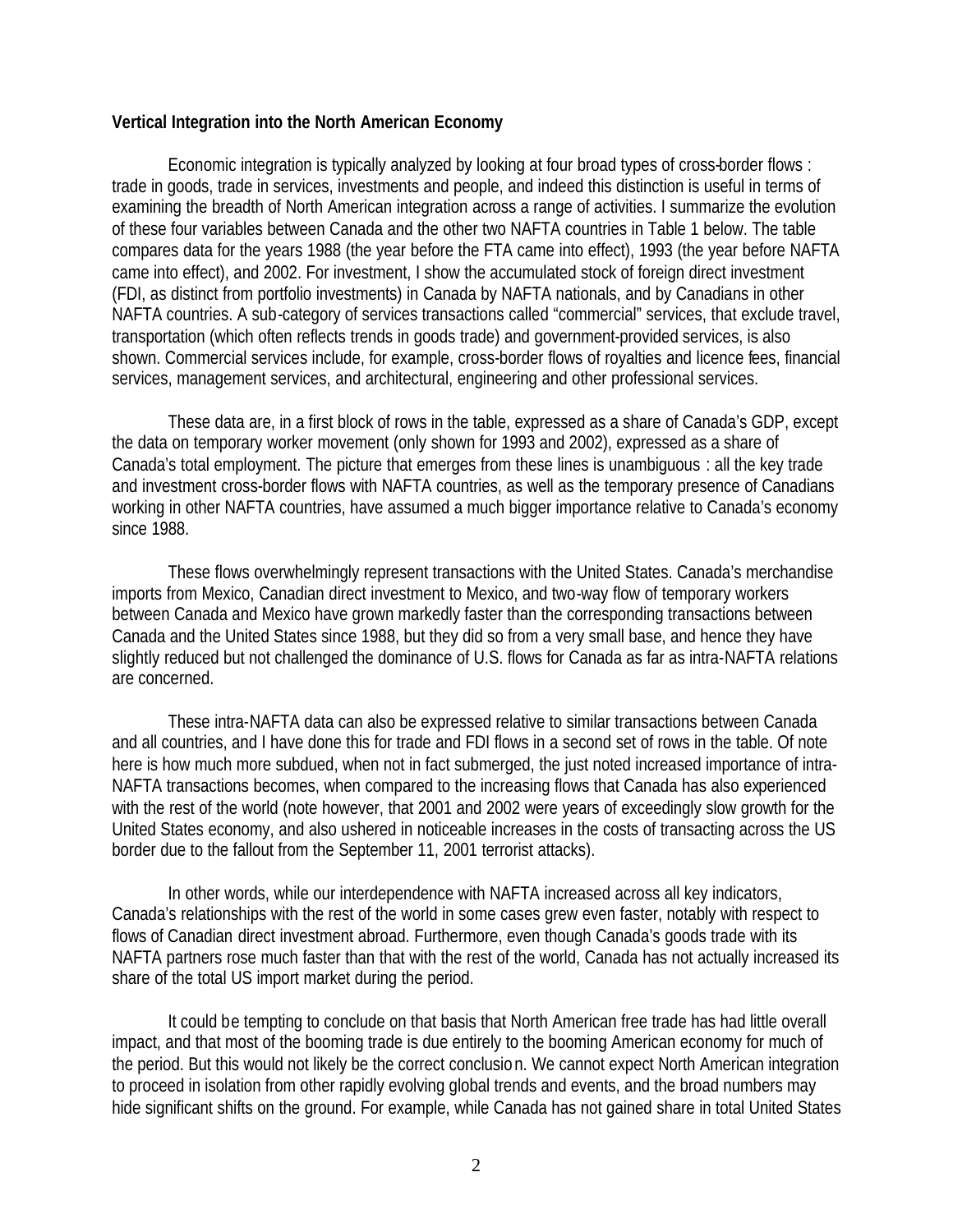### **Vertical Integration into the North American Economy**

Economic integration is typically analyzed by looking at four broad types of cross-border flows : trade in goods, trade in services, investments and people, and indeed this distinction is useful in terms of examining the breadth of North American integration across a range of activities. I summarize the evolution of these four variables between Canada and the other two NAFTA countries in Table 1 below. The table compares data for the years 1988 (the year before the FTA came into effect), 1993 (the year before NAFTA came into effect), and 2002. For investment, I show the accumulated stock of foreign direct investment (FDI, as distinct from portfolio investments) in Canada by NAFTA nationals, and by Canadians in other NAFTA countries. A sub-category of services transactions called "commercial" services, that exclude travel, transportation (which often reflects trends in goods trade) and government-provided services, is also shown. Commercial services include, for example, cross-border flows of royalties and licence fees, financial services, management services, and architectural, engineering and other professional services.

These data are, in a first block of rows in the table, expressed as a share of Canada's GDP, except the data on temporary worker movement (only shown for 1993 and 2002), expressed as a share of Canada's total employment. The picture that emerges from these lines is unambiguous : all the key trade and investment cross-border flows with NAFTA countries, as well as the temporary presence of Canadians working in other NAFTA countries, have assumed a much bigger importance relative to Canada's economy since 1988.

These flows overwhelmingly represent transactions with the United States. Canada's merchandise imports from Mexico, Canadian direct investment to Mexico, and two-way flow of temporary workers between Canada and Mexico have grown markedly faster than the corresponding transactions between Canada and the United States since 1988, but they did so from a very small base, and hence they have slightly reduced but not challenged the dominance of U.S. flows for Canada as far as intra-NAFTA relations are concerned.

These intra-NAFTA data can also be expressed relative to similar transactions between Canada and all countries, and I have done this for trade and FDI flows in a second set of rows in the table. Of note here is how much more subdued, when not in fact submerged, the just noted increased importance of intra-NAFTA transactions becomes, when compared to the increasing flows that Canada has also experienced with the rest of the world (note however, that 2001 and 2002 were years of exceedingly slow growth for the United States economy, and also ushered in noticeable increases in the costs of transacting across the US border due to the fallout from the September 11, 2001 terrorist attacks).

In other words, while our interdependence with NAFTA increased across all key indicators, Canada's relationships with the rest of the world in some cases grew even faster, notably with respect to flows of Canadian direct investment abroad. Furthermore, even though Canada's goods trade with its NAFTA partners rose much faster than that with the rest of the world, Canada has not actually increased its share of the total US import market during the period.

It could be tempting to conclude on that basis that North American free trade has had little overall impact, and that most of the booming trade is due entirely to the booming American economy for much of the period. But this would not likely be the correct conclusio n. We cannot expect North American integration to proceed in isolation from other rapidly evolving global trends and events, and the broad numbers may hide significant shifts on the ground. For example, while Canada has not gained share in total United States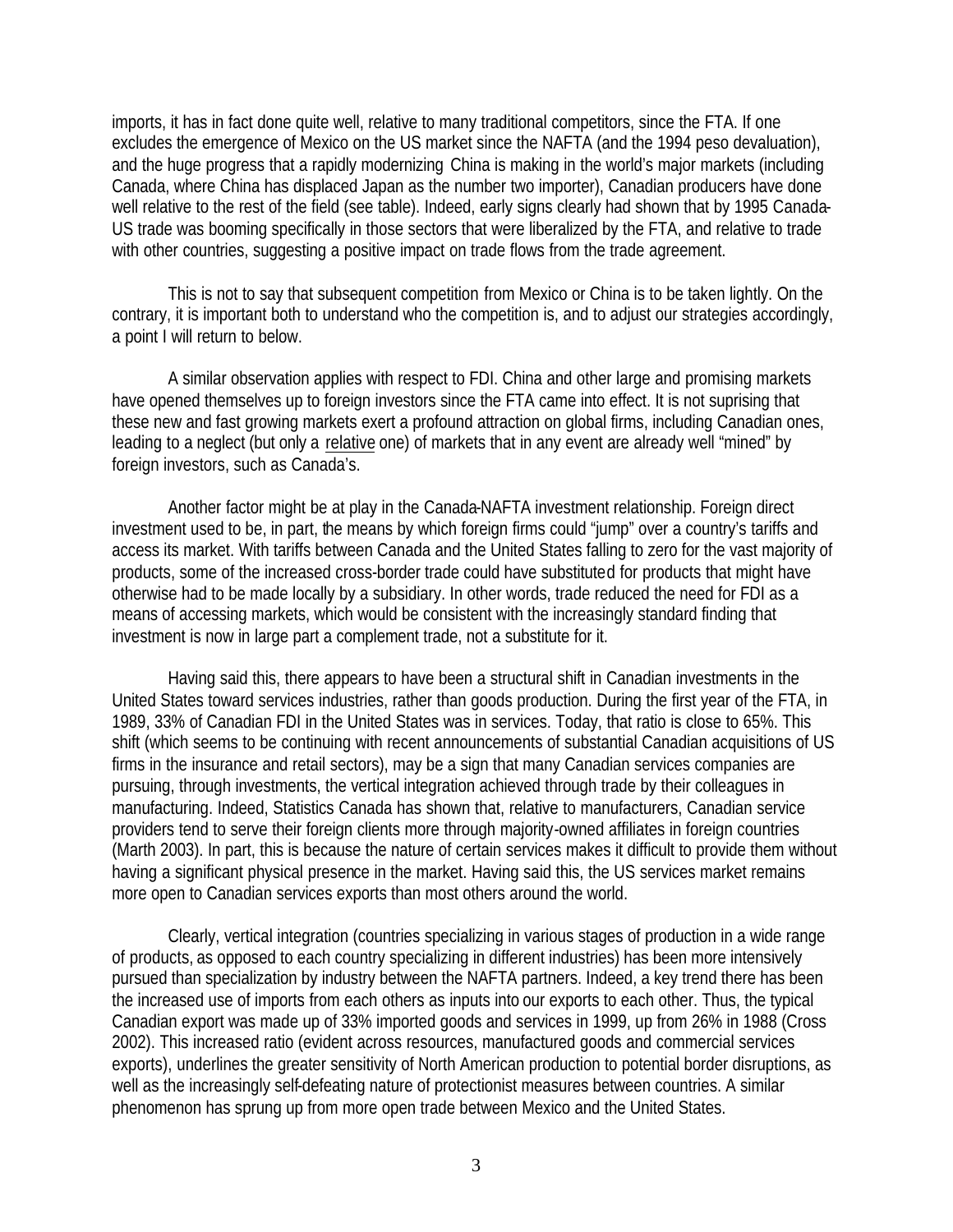imports, it has in fact done quite well, relative to many traditional competitors, since the FTA. If one excludes the emergence of Mexico on the US market since the NAFTA (and the 1994 peso devaluation), and the huge progress that a rapidly modernizing China is making in the world's major markets (including Canada, where China has displaced Japan as the number two importer), Canadian producers have done well relative to the rest of the field (see table). Indeed, early signs clearly had shown that by 1995 Canada-US trade was booming specifically in those sectors that were liberalized by the FTA, and relative to trade with other countries, suggesting a positive impact on trade flows from the trade agreement.

This is not to say that subsequent competition from Mexico or China is to be taken lightly. On the contrary, it is important both to understand who the competition is, and to adjust our strategies accordingly, a point I will return to below.

A similar observation applies with respect to FDI. China and other large and promising markets have opened themselves up to foreign investors since the FTA came into effect. It is not suprising that these new and fast growing markets exert a profound attraction on global firms, including Canadian ones, leading to a neglect (but only a relative one) of markets that in any event are already well "mined" by foreign investors, such as Canada's.

Another factor might be at play in the Canada-NAFTA investment relationship. Foreign direct investment used to be, in part, the means by which foreign firms could "jump" over a country's tariffs and access its market. With tariffs between Canada and the United States falling to zero for the vast majority of products, some of the increased cross-border trade could have substituted for products that might have otherwise had to be made locally by a subsidiary. In other words, trade reduced the need for FDI as a means of accessing markets, which would be consistent with the increasingly standard finding that investment is now in large part a complement trade, not a substitute for it.

Having said this, there appears to have been a structural shift in Canadian investments in the United States toward services industries, rather than goods production. During the first year of the FTA, in 1989, 33% of Canadian FDI in the United States was in services. Today, that ratio is close to 65%. This shift (which seems to be continuing with recent announcements of substantial Canadian acquisitions of US firms in the insurance and retail sectors), may be a sign that many Canadian services companies are pursuing, through investments, the vertical integration achieved through trade by their colleagues in manufacturing. Indeed, Statistics Canada has shown that, relative to manufacturers, Canadian service providers tend to serve their foreign clients more through majority-owned affiliates in foreign countries (Marth 2003). In part, this is because the nature of certain services makes it difficult to provide them without having a significant physical presence in the market. Having said this, the US services market remains more open to Canadian services exports than most others around the world.

Clearly, vertical integration (countries specializing in various stages of production in a wide range of products, as opposed to each country specializing in different industries) has been more intensively pursued than specialization by industry between the NAFTA partners. Indeed, a key trend there has been the increased use of imports from each others as inputs into our exports to each other. Thus, the typical Canadian export was made up of 33% imported goods and services in 1999, up from 26% in 1988 (Cross 2002). This increased ratio (evident across resources, manufactured goods and commercial services exports), underlines the greater sensitivity of North American production to potential border disruptions, as well as the increasingly self-defeating nature of protectionist measures between countries. A similar phenomenon has sprung up from more open trade between Mexico and the United States.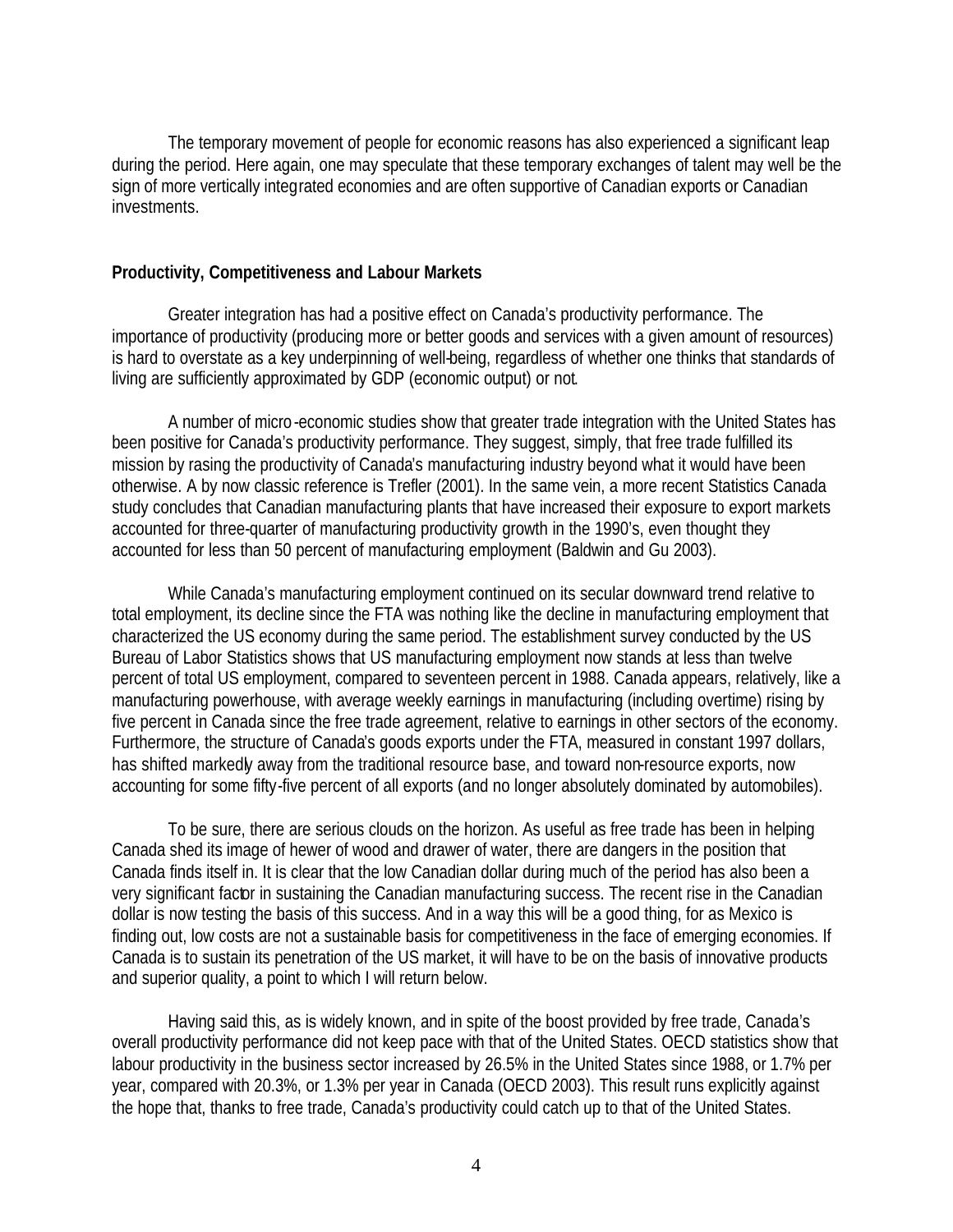The temporary movement of people for economic reasons has also experienced a significant leap during the period. Here again, one may speculate that these temporary exchanges of talent may well be the sign of more vertically integrated economies and are often supportive of Canadian exports or Canadian investments.

## **Productivity, Competitiveness and Labour Markets**

Greater integration has had a positive effect on Canada's productivity performance. The importance of productivity (producing more or better goods and services with a given amount of resources) is hard to overstate as a key underpinning of well-being, regardless of whether one thinks that standards of living are sufficiently approximated by GDP (economic output) or not.

A number of micro -economic studies show that greater trade integration with the United States has been positive for Canada's productivity performance. They suggest, simply, that free trade fulfilled its mission by rasing the productivity of Canada's manufacturing industry beyond what it would have been otherwise. A by now classic reference is Trefler (2001). In the same vein, a more recent Statistics Canada study concludes that Canadian manufacturing plants that have increased their exposure to export markets accounted for three-quarter of manufacturing productivity growth in the 1990's, even thought they accounted for less than 50 percent of manufacturing employment (Baldwin and Gu 2003).

While Canada's manufacturing employment continued on its secular downward trend relative to total employment, its decline since the FTA was nothing like the decline in manufacturing employment that characterized the US economy during the same period. The establishment survey conducted by the US Bureau of Labor Statistics shows that US manufacturing employment now stands at less than twelve percent of total US employment, compared to seventeen percent in 1988. Canada appears, relatively, like a manufacturing powerhouse, with average weekly earnings in manufacturing (including overtime) rising by five percent in Canada since the free trade agreement, relative to earnings in other sectors of the economy. Furthermore, the structure of Canada's goods exports under the FTA, measured in constant 1997 dollars, has shifted markedly away from the traditional resource base, and toward non-resource exports, now accounting for some fifty-five percent of all exports (and no longer absolutely dominated by automobiles).

To be sure, there are serious clouds on the horizon. As useful as free trade has been in helping Canada shed its image of hewer of wood and drawer of water, there are dangers in the position that Canada finds itself in. It is clear that the low Canadian dollar during much of the period has also been a very significant factor in sustaining the Canadian manufacturing success. The recent rise in the Canadian dollar is now testing the basis of this success. And in a way this will be a good thing, for as Mexico is finding out, low costs are not a sustainable basis for competitiveness in the face of emerging economies. If Canada is to sustain its penetration of the US market, it will have to be on the basis of innovative products and superior quality, a point to which I will return below.

Having said this, as is widely known, and in spite of the boost provided by free trade, Canada's overall productivity performance did not keep pace with that of the United States. OECD statistics show that labour productivity in the business sector increased by 26.5% in the United States since 1988, or 1.7% per year, compared with 20.3%, or 1.3% per year in Canada (OECD 2003). This result runs explicitly against the hope that, thanks to free trade, Canada's productivity could catch up to that of the United States.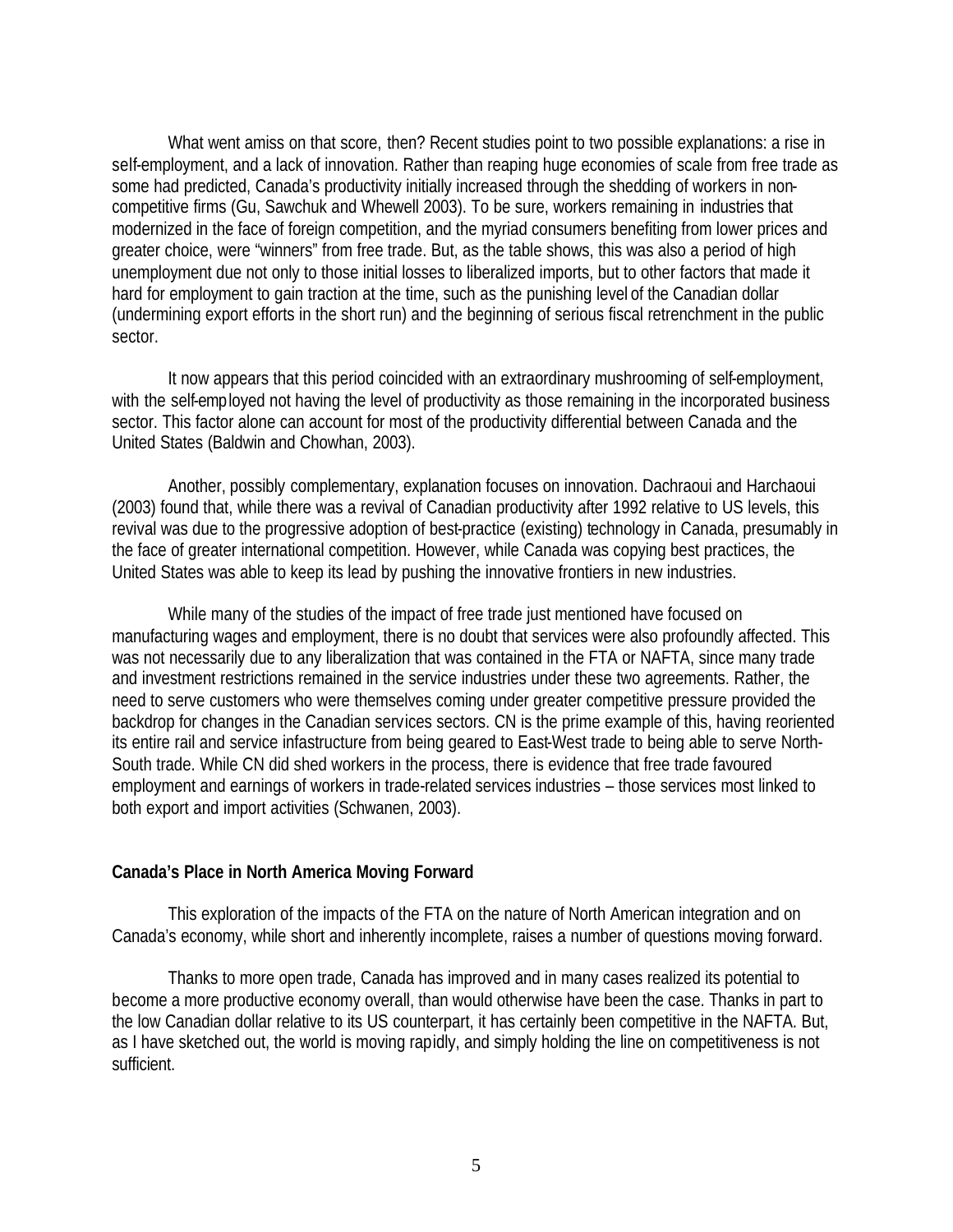What went amiss on that score, then? Recent studies point to two possible explanations: a rise in self-employment, and a lack of innovation. Rather than reaping huge economies of scale from free trade as some had predicted, Canada's productivity initially increased through the shedding of workers in noncompetitive firms (Gu, Sawchuk and Whewell 2003). To be sure, workers remaining in industries that modernized in the face of foreign competition, and the myriad consumers benefiting from lower prices and greater choice, were "winners" from free trade. But, as the table shows, this was also a period of high unemployment due not only to those initial losses to liberalized imports, but to other factors that made it hard for employment to gain traction at the time, such as the punishing level of the Canadian dollar (undermining export efforts in the short run) and the beginning of serious fiscal retrenchment in the public sector.

It now appears that this period coincided with an extraordinary mushrooming of self-employment, with the self-employed not having the level of productivity as those remaining in the incorporated business sector. This factor alone can account for most of the productivity differential between Canada and the United States (Baldwin and Chowhan, 2003).

Another, possibly complementary, explanation focuses on innovation. Dachraoui and Harchaoui (2003) found that, while there was a revival of Canadian productivity after 1992 relative to US levels, this revival was due to the progressive adoption of best-practice (existing) technology in Canada, presumably in the face of greater international competition. However, while Canada was copying best practices, the United States was able to keep its lead by pushing the innovative frontiers in new industries.

While many of the studies of the impact of free trade just mentioned have focused on manufacturing wages and employment, there is no doubt that services were also profoundly affected. This was not necessarily due to any liberalization that was contained in the FTA or NAFTA, since many trade and investment restrictions remained in the service industries under these two agreements. Rather, the need to serve customers who were themselves coming under greater competitive pressure provided the backdrop for changes in the Canadian services sectors. CN is the prime example of this, having reoriented its entire rail and service infastructure from being geared to East-West trade to being able to serve North-South trade. While CN did shed workers in the process, there is evidence that free trade favoured employment and earnings of workers in trade-related services industries – those services most linked to both export and import activities (Schwanen, 2003).

#### **Canada's Place in North America Moving Forward**

This exploration of the impacts of the FTA on the nature of North American integration and on Canada's economy, while short and inherently incomplete, raises a number of questions moving forward.

Thanks to more open trade, Canada has improved and in many cases realized its potential to become a more productive economy overall, than would otherwise have been the case. Thanks in part to the low Canadian dollar relative to its US counterpart, it has certainly been competitive in the NAFTA. But, as I have sketched out, the world is moving rapidly, and simply holding the line on competitiveness is not sufficient.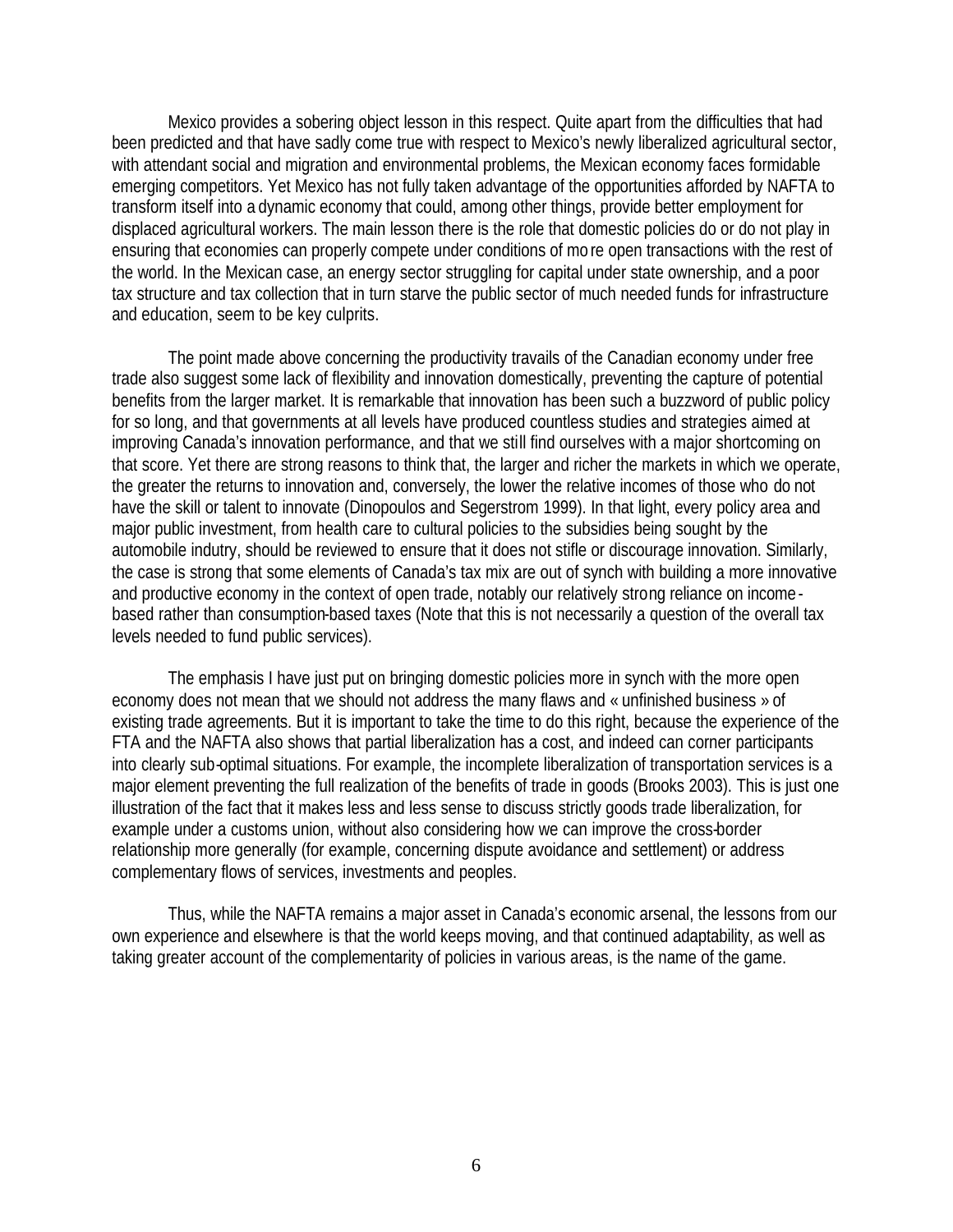Mexico provides a sobering object lesson in this respect. Quite apart from the difficulties that had been predicted and that have sadly come true with respect to Mexico's newly liberalized agricultural sector, with attendant social and migration and environmental problems, the Mexican economy faces formidable emerging competitors. Yet Mexico has not fully taken advantage of the opportunities afforded by NAFTA to transform itself into a dynamic economy that could, among other things, provide better employment for displaced agricultural workers. The main lesson there is the role that domestic policies do or do not play in ensuring that economies can properly compete under conditions of mo re open transactions with the rest of the world. In the Mexican case, an energy sector struggling for capital under state ownership, and a poor tax structure and tax collection that in turn starve the public sector of much needed funds for infrastructure and education, seem to be key culprits.

The point made above concerning the productivity travails of the Canadian economy under free trade also suggest some lack of flexibility and innovation domestically, preventing the capture of potential benefits from the larger market. It is remarkable that innovation has been such a buzzword of public policy for so long, and that governments at all levels have produced countless studies and strategies aimed at improving Canada's innovation performance, and that we still find ourselves with a major shortcoming on that score. Yet there are strong reasons to think that, the larger and richer the markets in which we operate, the greater the returns to innovation and, conversely, the lower the relative incomes of those who do not have the skill or talent to innovate (Dinopoulos and Segerstrom 1999). In that light, every policy area and major public investment, from health care to cultural policies to the subsidies being sought by the automobile indutry, should be reviewed to ensure that it does not stifle or discourage innovation. Similarly, the case is strong that some elements of Canada's tax mix are out of synch with building a more innovative and productive economy in the context of open trade, notably our relatively strong reliance on income based rather than consumption-based taxes (Note that this is not necessarily a question of the overall tax levels needed to fund public services).

The emphasis I have just put on bringing domestic policies more in synch with the more open economy does not mean that we should not address the many flaws and « unfinished business » of existing trade agreements. But it is important to take the time to do this right, because the experience of the FTA and the NAFTA also shows that partial liberalization has a cost, and indeed can corner participants into clearly sub-optimal situations. For example, the incomplete liberalization of transportation services is a major element preventing the full realization of the benefits of trade in goods (Brooks 2003). This is just one illustration of the fact that it makes less and less sense to discuss strictly goods trade liberalization, for example under a customs union, without also considering how we can improve the cross-border relationship more generally (for example, concerning dispute avoidance and settlement) or address complementary flows of services, investments and peoples.

Thus, while the NAFTA remains a major asset in Canada's economic arsenal, the lessons from our own experience and elsewhere is that the world keeps moving, and that continued adaptability, as well as taking greater account of the complementarity of policies in various areas, is the name of the game.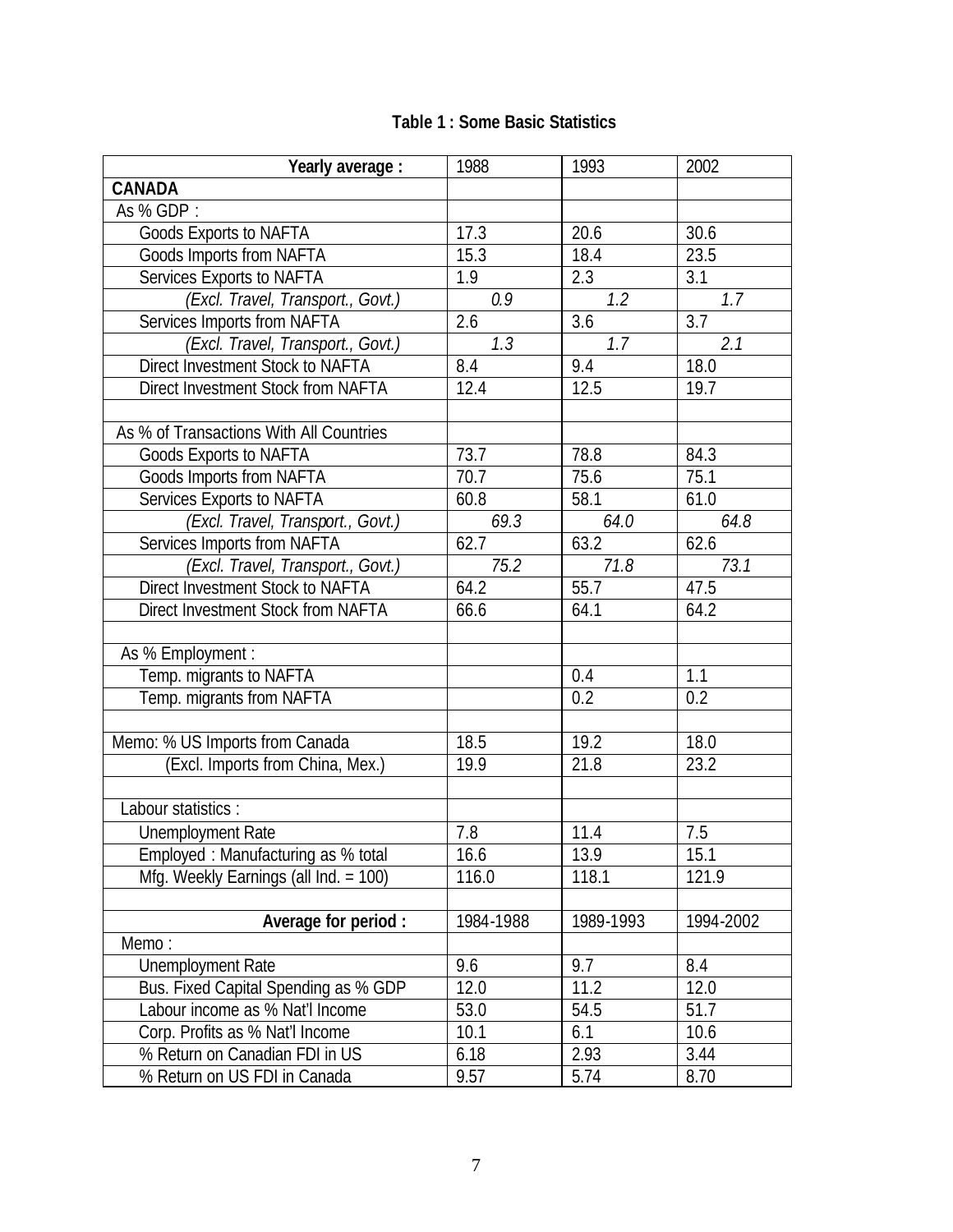|  |  |  |  | <b>Table 1: Some Basic Statistics</b> |
|--|--|--|--|---------------------------------------|
|--|--|--|--|---------------------------------------|

| Yearly average :                         | 1988      | 1993              | 2002             |
|------------------------------------------|-----------|-------------------|------------------|
| <b>CANADA</b>                            |           |                   |                  |
| As % GDP:                                |           |                   |                  |
| Goods Exports to NAFTA                   | 17.3      | 20.6              | 30.6             |
| Goods Imports from NAFTA                 | 15.3      | 18.4              | 23.5             |
| Services Exports to NAFTA                | 1.9       | 2.3               | 3.1              |
| (Excl. Travel, Transport., Govt.)        | 0.9       | 1.2               | 1.7              |
| Services Imports from NAFTA              | 2.6       | $\overline{3.6}$  | $\overline{3.7}$ |
| (Excl. Travel, Transport., Govt.)        | 1.3       | 1.7               | 2.1              |
| Direct Investment Stock to NAFTA         | 8.4       | 9.4               | 18.0             |
| Direct Investment Stock from NAFTA       | 12.4      | $12.\overline{5}$ | 19.7             |
|                                          |           |                   |                  |
| As % of Transactions With All Countries  |           |                   |                  |
| <b>Goods Exports to NAFTA</b>            | 73.7      | 78.8              | 84.3             |
| <b>Goods Imports from NAFTA</b>          | 70.7      | 75.6              | 75.1             |
| Services Exports to NAFTA                | 60.8      | 58.1              | 61.0             |
| (Excl. Travel, Transport., Govt.)        | 69.3      | 64.0              | 64.8             |
| Services Imports from NAFTA              | 62.7      | 63.2              | 62.6             |
| (Excl. Travel, Transport., Govt.)        | 75.2      | 71.8              | 73.1             |
| Direct Investment Stock to NAFTA         | 64.2      | 55.7              | 47.5             |
| Direct Investment Stock from NAFTA       | 66.6      | 64.1              | 64.2             |
|                                          |           |                   |                  |
| As % Employment :                        |           |                   |                  |
| Temp. migrants to NAFTA                  |           | 0.4               | 1.1              |
| Temp. migrants from NAFTA                |           | 0.2               | 0.2              |
|                                          |           |                   |                  |
| Memo: % US Imports from Canada           | 18.5      | 19.2              | 18.0             |
| (Excl. Imports from China, Mex.)         | 19.9      | 21.8              | 23.2             |
|                                          |           |                   |                  |
| Labour statistics :                      |           |                   |                  |
| <b>Unemployment Rate</b>                 | 7.8       | 11.4              | 7.5              |
| Employed: Manufacturing as % total       | 16.6      | 13.9              | 15.1             |
| Mfg. Weekly Earnings (all $Ind. = 100$ ) | 116.0     | 118.1             | 121.9            |
|                                          |           |                   |                  |
| Average for period :                     | 1984-1988 | 1989-1993         | 1994-2002        |
| Memo:                                    |           |                   |                  |
| Unemployment Rate                        | 9.6       | 9.7               | 8.4              |
| Bus. Fixed Capital Spending as % GDP     | 12.0      | 11.2              | 12.0             |
| Labour income as % Nat'l Income          | 53.0      | 54.5              | 51.7             |
| Corp. Profits as % Nat'l Income          | 10.1      | 6.1               | 10.6             |
| % Return on Canadian FDI in US           | 6.18      | 2.93              | 3.44             |
| % Return on US FDI in Canada             | 9.57      | 5.74              | 8.70             |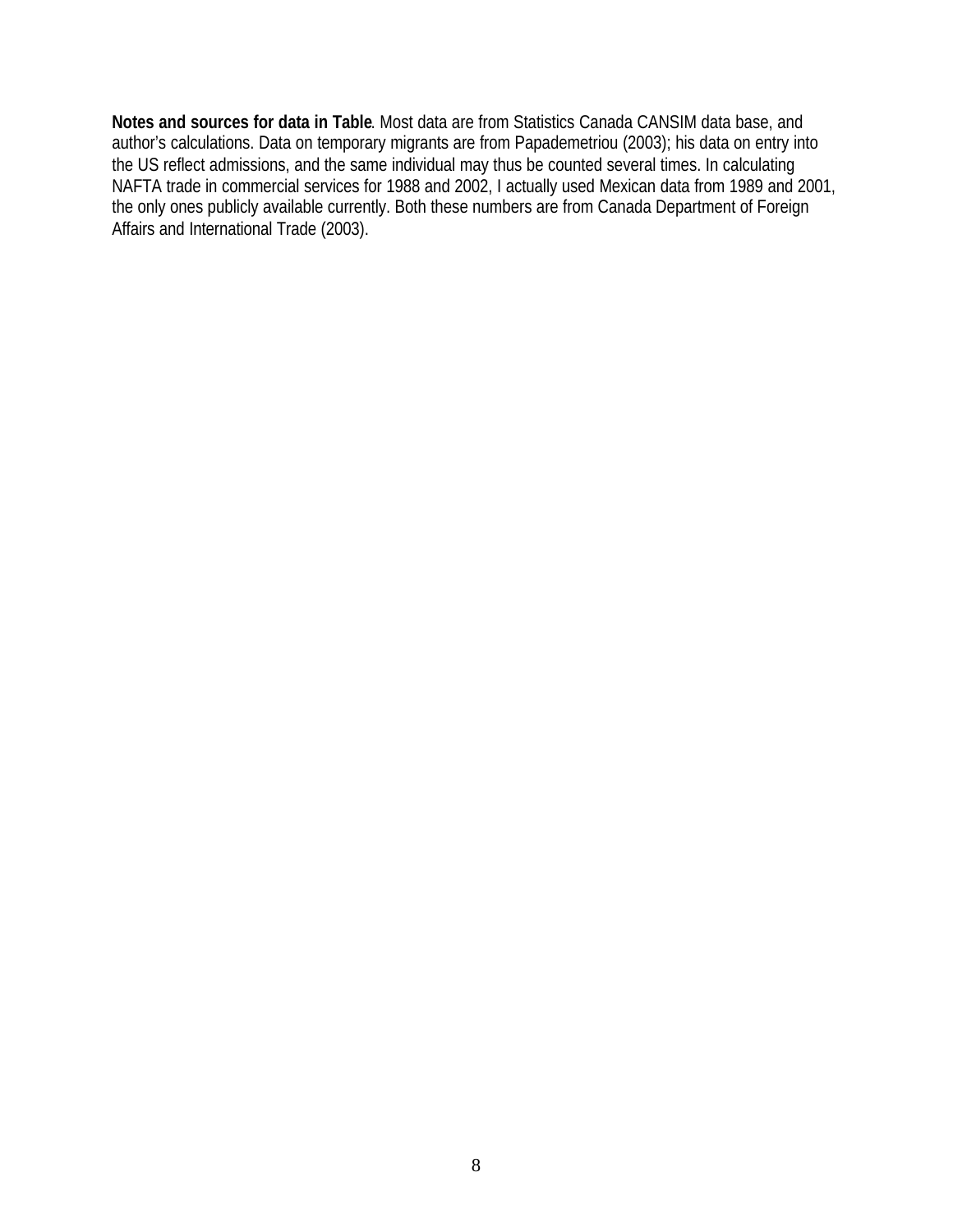**Notes and sources for data in Table**. Most data are from Statistics Canada CANSIM data base, and author's calculations. Data on temporary migrants are from Papademetriou (2003); his data on entry into the US reflect admissions, and the same individual may thus be counted several times. In calculating NAFTA trade in commercial services for 1988 and 2002, I actually used Mexican data from 1989 and 2001, the only ones publicly available currently. Both these numbers are from Canada Department of Foreign Affairs and International Trade (2003).